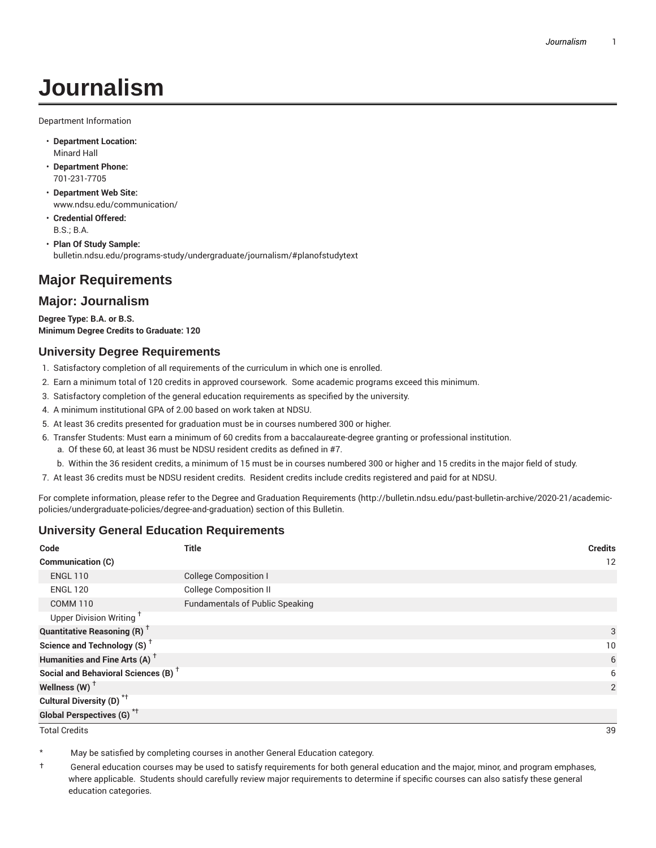# **Journalism**

Department Information

- **Department Location:** Minard Hall
- **Department Phone:** 701-231-7705
- **Department Web Site:** www.ndsu.edu/communication/
- **Credential Offered:** B.S.; B.A.
- **Plan Of Study Sample:** bulletin.ndsu.edu/programs-study/undergraduate/journalism/#planofstudytext

# **Major Requirements**

## **Major: Journalism**

**Degree Type: B.A. or B.S. Minimum Degree Credits to Graduate: 120**

#### **University Degree Requirements**

- 1. Satisfactory completion of all requirements of the curriculum in which one is enrolled.
- 2. Earn a minimum total of 120 credits in approved coursework. Some academic programs exceed this minimum.
- 3. Satisfactory completion of the general education requirements as specified by the university.
- 4. A minimum institutional GPA of 2.00 based on work taken at NDSU.
- 5. At least 36 credits presented for graduation must be in courses numbered 300 or higher.
- 6. Transfer Students: Must earn a minimum of 60 credits from a baccalaureate-degree granting or professional institution.
	- a. Of these 60, at least 36 must be NDSU resident credits as defined in #7.
	- b. Within the 36 resident credits, a minimum of 15 must be in courses numbered 300 or higher and 15 credits in the major field of study.
- 7. At least 36 credits must be NDSU resident credits. Resident credits include credits registered and paid for at NDSU.

For complete information, please refer to the Degree and Graduation Requirements (http://bulletin.ndsu.edu/past-bulletin-archive/2020-21/academicpolicies/undergraduate-policies/degree-and-graduation) section of this Bulletin.

### **University General Education Requirements**

| Code                                            | <b>Title</b>                           | <b>Credits</b> |
|-------------------------------------------------|----------------------------------------|----------------|
| <b>Communication (C)</b>                        |                                        | 12             |
| <b>ENGL 110</b>                                 | <b>College Composition I</b>           |                |
| <b>ENGL 120</b>                                 | <b>College Composition II</b>          |                |
| <b>COMM 110</b>                                 | <b>Fundamentals of Public Speaking</b> |                |
| Upper Division Writing <sup>+</sup>             |                                        |                |
| <b>Quantitative Reasoning (R)</b> <sup>†</sup>  |                                        | 3              |
| Science and Technology (S) <sup>+</sup>         |                                        | 10             |
| Humanities and Fine Arts (A) <sup>+</sup>       |                                        | 6              |
| Social and Behavioral Sciences (B) <sup>+</sup> |                                        | 6              |
| Wellness $(W)$ <sup>+</sup>                     |                                        | 2              |
| Cultural Diversity (D) <sup>*†</sup>            |                                        |                |
| <b>Global Perspectives (G)<sup>*†</sup></b>     |                                        |                |

Total Credits 39

May be satisfied by completing courses in another General Education category.

† General education courses may be used to satisfy requirements for both general education and the major, minor, and program emphases, where applicable. Students should carefully review major requirements to determine if specific courses can also satisfy these general education categories.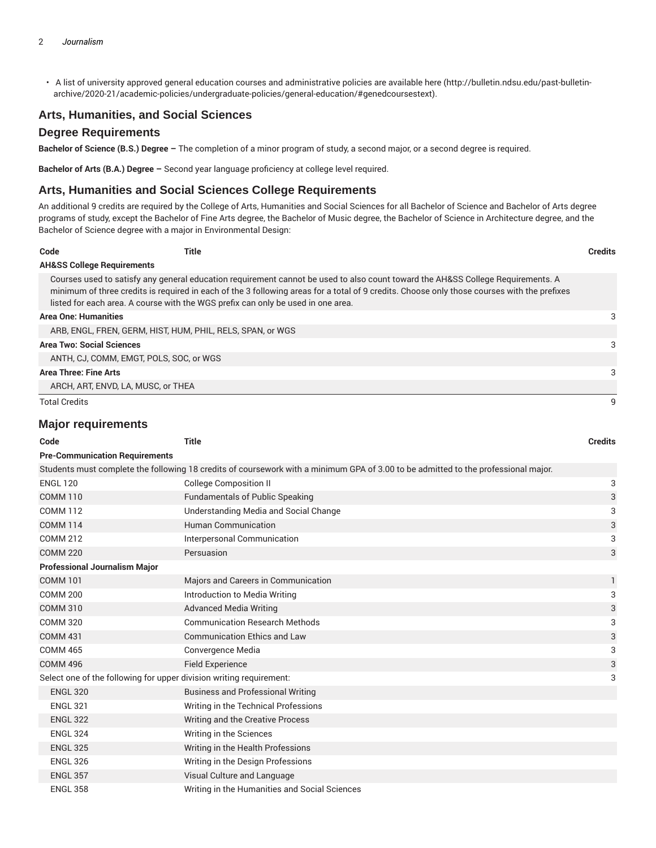• A list of university approved general education courses and administrative policies are available here (http://bulletin.ndsu.edu/past-bulletinarchive/2020-21/academic-policies/undergraduate-policies/general-education/#genedcoursestext).

## **Arts, Humanities, and Social Sciences**

#### **Degree Requirements**

**Bachelor of Science (B.S.) Degree –** The completion of a minor program of study, a second major, or a second degree is required.

**Bachelor of Arts (B.A.) Degree –** Second year language proficiency at college level required.

#### **Arts, Humanities and Social Sciences College Requirements**

An additional 9 credits are required by the College of Arts, Humanities and Social Sciences for all Bachelor of Science and Bachelor of Arts degree programs of study, except the Bachelor of Fine Arts degree, the Bachelor of Music degree, the Bachelor of Science in Architecture degree, and the Bachelor of Science degree with a major in Environmental Design:

| Code                                  | Title                                                                            |                                                                                                                                                                                                                                                                                | <b>Credits</b> |
|---------------------------------------|----------------------------------------------------------------------------------|--------------------------------------------------------------------------------------------------------------------------------------------------------------------------------------------------------------------------------------------------------------------------------|----------------|
| <b>AH&amp;SS College Requirements</b> |                                                                                  |                                                                                                                                                                                                                                                                                |                |
|                                       | listed for each area. A course with the WGS prefix can only be used in one area. | Courses used to satisfy any general education requirement cannot be used to also count toward the AH&SS College Requirements. A<br>minimum of three credits is required in each of the 3 following areas for a total of 9 credits. Choose only those courses with the prefixes |                |
| <b>Area One: Humanities</b>           |                                                                                  |                                                                                                                                                                                                                                                                                | 3              |
|                                       | ARB, ENGL, FREN, GERM, HIST, HUM, PHIL, RELS, SPAN, or WGS                       |                                                                                                                                                                                                                                                                                |                |
| <b>Area Two: Social Sciences</b>      |                                                                                  |                                                                                                                                                                                                                                                                                | 3              |
|                                       | ANTH, CJ, COMM, EMGT, POLS, SOC, or WGS                                          |                                                                                                                                                                                                                                                                                |                |
| Area Three: Fine Arts                 |                                                                                  |                                                                                                                                                                                                                                                                                | 3              |
|                                       | ARCH, ART, ENVD, LA, MUSC, or THEA                                               |                                                                                                                                                                                                                                                                                |                |
| <b>Total Credits</b>                  |                                                                                  |                                                                                                                                                                                                                                                                                |                |

#### **Major requirements**

| Code                                                                | <b>Title</b>                                                                                                                       | <b>Credits</b> |
|---------------------------------------------------------------------|------------------------------------------------------------------------------------------------------------------------------------|----------------|
| <b>Pre-Communication Requirements</b>                               |                                                                                                                                    |                |
|                                                                     | Students must complete the following 18 credits of coursework with a minimum GPA of 3.00 to be admitted to the professional major. |                |
| <b>ENGL 120</b>                                                     | <b>College Composition II</b>                                                                                                      | 3              |
| <b>COMM 110</b>                                                     | <b>Fundamentals of Public Speaking</b>                                                                                             | 3              |
| <b>COMM 112</b>                                                     | Understanding Media and Social Change                                                                                              | 3              |
| <b>COMM 114</b>                                                     | <b>Human Communication</b>                                                                                                         | 3              |
| <b>COMM 212</b>                                                     | Interpersonal Communication                                                                                                        | 3              |
| <b>COMM 220</b>                                                     | Persuasion                                                                                                                         | 3              |
| <b>Professional Journalism Major</b>                                |                                                                                                                                    |                |
| <b>COMM 101</b>                                                     | Majors and Careers in Communication                                                                                                | 1              |
| <b>COMM 200</b>                                                     | Introduction to Media Writing                                                                                                      | 3              |
| <b>COMM 310</b>                                                     | <b>Advanced Media Writing</b>                                                                                                      | 3              |
| <b>COMM 320</b>                                                     | <b>Communication Research Methods</b>                                                                                              | 3              |
| <b>COMM 431</b>                                                     | <b>Communication Ethics and Law</b>                                                                                                | 3              |
| <b>COMM 465</b>                                                     | Convergence Media                                                                                                                  | 3              |
| <b>COMM 496</b>                                                     | <b>Field Experience</b>                                                                                                            | 3              |
| Select one of the following for upper division writing requirement: |                                                                                                                                    | 3              |
| <b>ENGL 320</b>                                                     | <b>Business and Professional Writing</b>                                                                                           |                |
| <b>ENGL 321</b>                                                     | Writing in the Technical Professions                                                                                               |                |
| <b>ENGL 322</b>                                                     | Writing and the Creative Process                                                                                                   |                |
| <b>ENGL 324</b>                                                     | Writing in the Sciences                                                                                                            |                |
| <b>ENGL 325</b>                                                     | Writing in the Health Professions                                                                                                  |                |
| <b>ENGL 326</b>                                                     | Writing in the Design Professions                                                                                                  |                |
| <b>ENGL 357</b>                                                     | Visual Culture and Language                                                                                                        |                |
| <b>ENGL 358</b>                                                     | Writing in the Humanities and Social Sciences                                                                                      |                |